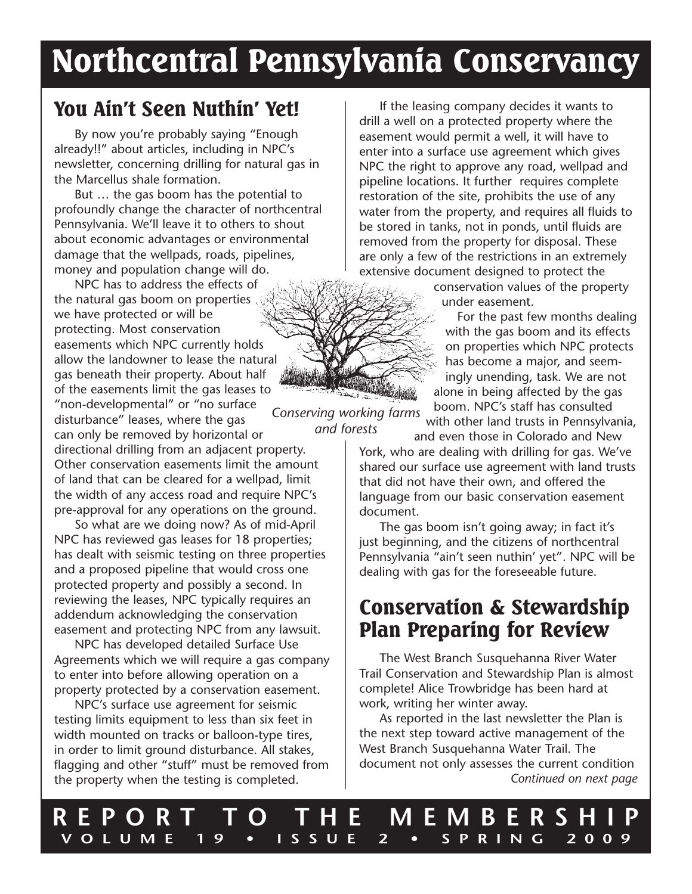# Northcentral Pennsylvania Conservancy

*and forests*

### You Ain't Seen Nuthin' Yet!

By now you're probably saying "Enough already!!" about articles, including in NPC's newsletter, concerning drilling for natural gas in the Marcellus shale formation.

But … the gas boom has the potential to profoundly change the character of northcentral Pennsylvania. We'll leave it to others to shout about economic advantages or environmental damage that the wellpads, roads, pipelines, money and population change will do.

*Conserving working farms*  NPC has to address the effects of the natural gas boom on properties we have protected or will be protecting. Most conservation easements which NPC currently holds allow the landowner to lease the natural gas beneath their property. About half of the easements limit the gas leases to "non-developmental" or "no surface disturbance" leases, where the gas can only be removed by horizontal or directional drilling from an adjacent property. Other conservation easements limit the amount of land that can be cleared for a wellpad, limit the width of any access road and require NPC's pre-approval for any operations on the ground.

So what are we doing now? As of mid-April NPC has reviewed gas leases for 18 properties; has dealt with seismic testing on three properties and a proposed pipeline that would cross one protected property and possibly a second. In reviewing the leases, NPC typically requires an addendum acknowledging the conservation easement and protecting NPC from any lawsuit.

NPC has developed detailed Surface Use Agreements which we will require a gas company to enter into before allowing operation on a property protected by a conservation easement.

NPC's surface use agreement for seismic testing limits equipment to less than six feet in width mounted on tracks or balloon-type tires, in order to limit ground disturbance. All stakes, flagging and other "stuff" must be removed from the property when the testing is completed.

If the leasing company decides it wants to drill a well on a protected property where the easement would permit a well, it will have to enter into a surface use agreement which gives NPC the right to approve any road, wellpad and pipeline locations. It further requires complete restoration of the site, prohibits the use of any water from the property, and requires all fluids to be stored in tanks, not in ponds, until fluids are removed from the property for disposal. These are only a few of the restrictions in an extremely extensive document designed to protect the

> conservation values of the property under easement.

For the past few months dealing with the gas boom and its effects on properties which NPC protects has become a major, and seemingly unending, task. We are not alone in being affected by the gas boom. NPC's staff has consulted with other land trusts in Pennsylvania,

and even those in Colorado and New

York, who are dealing with drilling for gas. We've shared our surface use agreement with land trusts that did not have their own, and offered the language from our basic conservation easement document.

The gas boom isn't going away; in fact it's just beginning, and the citizens of northcentral Pennsylvania "ain't seen nuthin' yet". NPC will be dealing with gas for the foreseeable future.

### Conservation & Stewardship Plan Preparing for Review

The West Branch Susquehanna River Water Trail Conservation and Stewardship Plan is almost complete! Alice Trowbridge has been hard at work, writing her winter away.

As reported in the last newsletter the Plan is the next step toward active management of the West Branch Susquehanna Water Trail. The document not only assesses the current condition *Continued on next page*

**REPORT TO THE MEMBERSHIP VOLUME 19 • ISSUE 2 • SPRING 2009**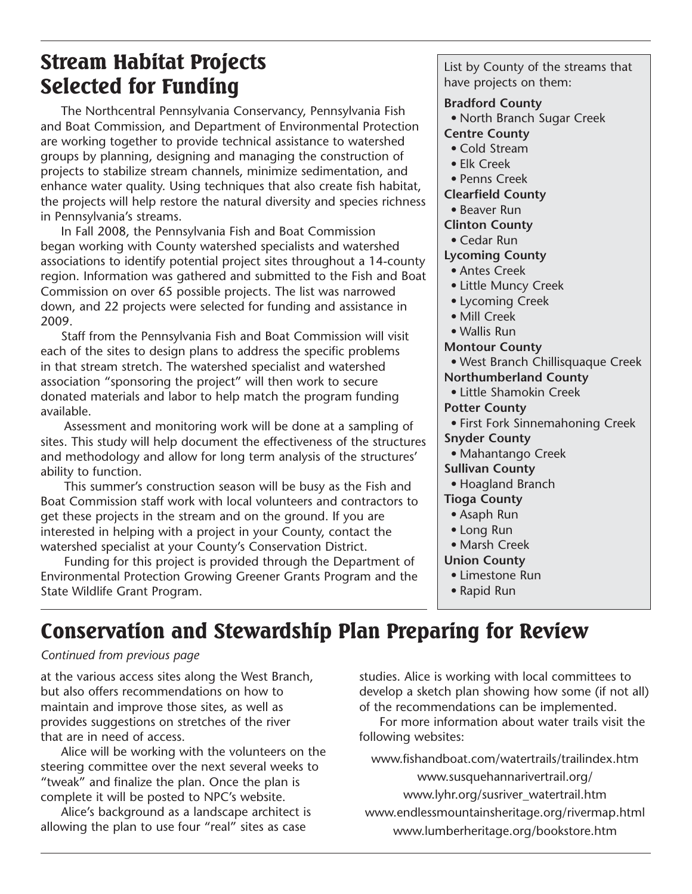## Stream Habitat Projects Selected for Funding

The Northcentral Pennsylvania Conservancy, Pennsylvania Fish and Boat Commission, and Department of Environmental Protection are working together to provide technical assistance to watershed groups by planning, designing and managing the construction of projects to stabilize stream channels, minimize sedimentation, and enhance water quality. Using techniques that also create fish habitat, the projects will help restore the natural diversity and species richness in Pennsylvania's streams.

In Fall 2008, the Pennsylvania Fish and Boat Commission began working with County watershed specialists and watershed associations to identify potential project sites throughout a 14-county region. Information was gathered and submitted to the Fish and Boat Commission on over 65 possible projects. The list was narrowed down, and 22 projects were selected for funding and assistance in 2009.

Staff from the Pennsylvania Fish and Boat Commission will visit each of the sites to design plans to address the specific problems in that stream stretch. The watershed specialist and watershed association "sponsoring the project" will then work to secure donated materials and labor to help match the program funding available.

Assessment and monitoring work will be done at a sampling of sites. This study will help document the effectiveness of the structures and methodology and allow for long term analysis of the structures' ability to function.

This summer's construction season will be busy as the Fish and Boat Commission staff work with local volunteers and contractors to get these projects in the stream and on the ground. If you are interested in helping with a project in your County, contact the watershed specialist at your County's Conservation District.

Funding for this project is provided through the Department of Environmental Protection Growing Greener Grants Program and the State Wildlife Grant Program.

List by County of the streams that have projects on them:

### **Bradford County**

• North Branch Sugar Creek

### **Centre County**

- Cold Stream
- Elk Creek
- Penns Creek

**Clearfield County**

- Beaver Run
- **Clinton County**
	- Cedar Run

### **Lycoming County**

- Antes Creek
- Little Muncy Creek
- Lycoming Creek
- Mill Creek
- Wallis Run
- **Montour County**
- West Branch Chillisquaque Creek

### **Northumberland County**

- Little Shamokin Creek
- **Potter County**
- First Fork Sinnemahoning Creek
- **Snyder County**
- Mahantango Creek

#### **Sullivan County**

- Hoagland Branch
- **Tioga County**
- Asaph Run
- Long Run
- Marsh Creek

### **Union County**

- Limestone Run
- Rapid Run

# Conservation and Stewardship Plan Preparing for Review

### *Continued from previous page*

at the various access sites along the West Branch, but also offers recommendations on how to maintain and improve those sites, as well as provides suggestions on stretches of the river that are in need of access.

Alice will be working with the volunteers on the steering committee over the next several weeks to "tweak" and finalize the plan. Once the plan is complete it will be posted to NPC's website.

Alice's background as a landscape architect is allowing the plan to use four "real" sites as case

studies. Alice is working with local committees to develop a sketch plan showing how some (if not all) of the recommendations can be implemented.

For more information about water trails visit the following websites:

www.fishandboat.com/watertrails/trailindex.htm

www.susquehannarivertrail.org/

www.lyhr.org/susriver\_watertrail.htm

www.endlessmountainsheritage.org/rivermap.html www.lumberheritage.org/bookstore.htm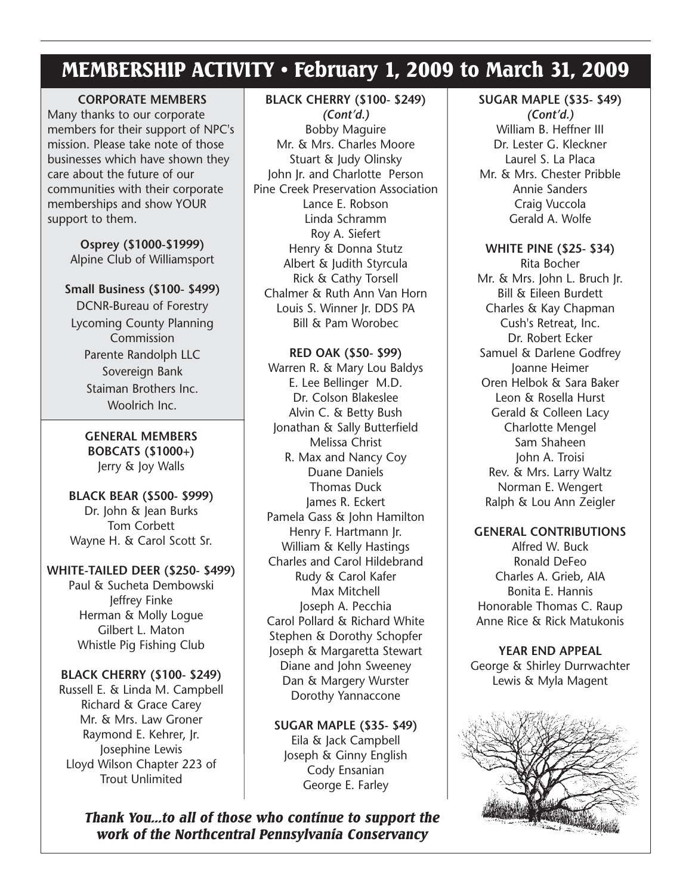### MEMBERSHIP ACTIVITY • February 1, 2009 to March 31, 2009

**CORPORATE MEMBERS** Many thanks to our corporate members for their support of NPC's mission. Please take note of those businesses which have shown they care about the future of our communities with their corporate memberships and show YOUR support to them.

> **Osprey (\$1000-\$1999)** Alpine Club of Williamsport

#### **Small Business (\$100- \$499)**

DCNR-Bureau of Forestry Lycoming County Planning Commission Parente Randolph LLC Sovereign Bank Staiman Brothers Inc. Woolrich Inc.

**GENERAL MEMBERS BOBCATS (\$1000+)** Jerry & Joy Walls

**BLACK BEAR (\$500- \$999)** Dr. John & Jean Burks Tom Corbett Wayne H. & Carol Scott Sr.

#### **WHITE-TAILED DEER (\$250- \$499)**

Paul & Sucheta Dembowski Jeffrey Finke Herman & Molly Logue Gilbert L. Maton Whistle Pig Fishing Club

#### **BLACK CHERRY (\$100- \$249)**

Russell E. & Linda M. Campbell Richard & Grace Carey Mr. & Mrs. Law Groner Raymond E. Kehrer, Jr. Josephine Lewis Lloyd Wilson Chapter 223 of Trout Unlimited

### **BLACK CHERRY (\$100- \$249)**

*(Cont'd.)* Bobby Maguire Mr. & Mrs. Charles Moore Stuart & Judy Olinsky John Jr. and Charlotte Person Pine Creek Preservation Association Lance E. Robson Linda Schramm Roy A. Siefert Henry & Donna Stutz Albert & Judith Styrcula Rick & Cathy Torsell Chalmer & Ruth Ann Van Horn Louis S. Winner Jr. DDS PA Bill & Pam Worobec

#### **RED OAK (\$50- \$99)**

Warren R. & Mary Lou Baldys E. Lee Bellinger M.D. Dr. Colson Blakeslee Alvin C. & Betty Bush Jonathan & Sally Butterfield Melissa Christ R. Max and Nancy Coy Duane Daniels Thomas Duck James R. Eckert Pamela Gass & John Hamilton Henry F. Hartmann Jr. William & Kelly Hastings Charles and Carol Hildebrand Rudy & Carol Kafer Max Mitchell Joseph A. Pecchia Carol Pollard & Richard White Stephen & Dorothy Schopfer Joseph & Margaretta Stewart Diane and John Sweeney Dan & Margery Wurster Dorothy Yannaccone

**SUGAR MAPLE (\$35- \$49)** Eila & Jack Campbell Joseph & Ginny English Cody Ensanian George E. Farley

*Thank You...to all of those who continue to support the work of the Northcentral Pennsylvania Conservancy*

**SUGAR MAPLE (\$35- \$49)** *(Cont'd.)* William B. Heffner III Dr. Lester G. Kleckner Laurel S. La Placa Mr. & Mrs. Chester Pribble Annie Sanders Craig Vuccola Gerald A. Wolfe

**WHITE PINE (\$25- \$34)** Rita Bocher Mr. & Mrs. John L. Bruch Jr. Bill & Eileen Burdett Charles & Kay Chapman Cush's Retreat, Inc. Dr. Robert Ecker Samuel & Darlene Godfrey Joanne Heimer Oren Helbok & Sara Baker Leon & Rosella Hurst Gerald & Colleen Lacy Charlotte Mengel Sam Shaheen John A. Troisi Rev. & Mrs. Larry Waltz Norman E. Wengert Ralph & Lou Ann Zeigler

#### **GENERAL CONTRIBUTIONS**

Alfred W. Buck Ronald DeFeo Charles A. Grieb, AIA Bonita E. Hannis Honorable Thomas C. Raup Anne Rice & Rick Matukonis

**YEAR END APPEAL** George & Shirley Durrwachter Lewis & Myla Magent